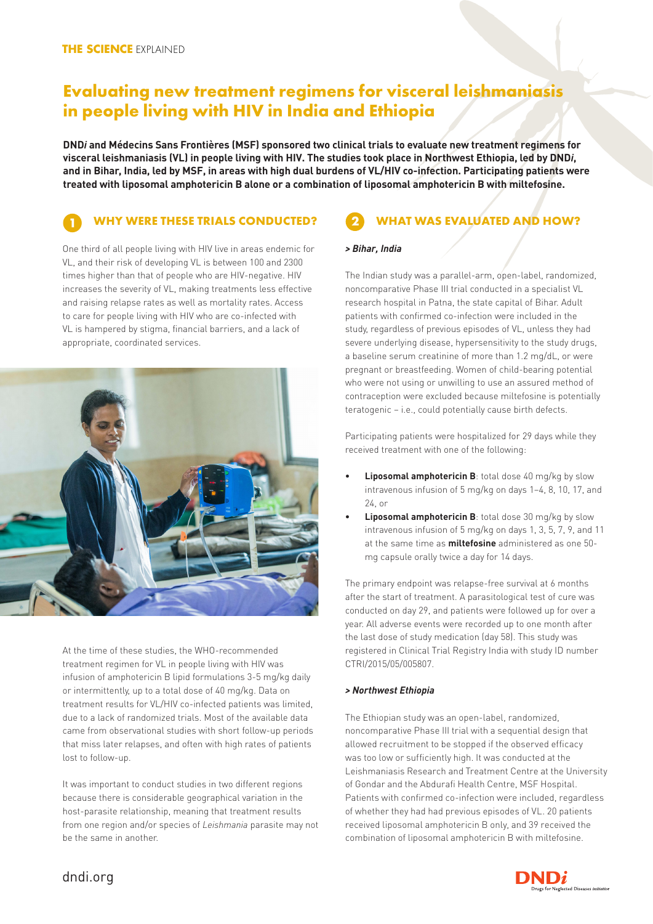# **Evaluating new treatment regimens for visceral leishmaniasis in people living with HIV in India and Ethiopia**

**DND***i* **and Médecins Sans Frontières (MSF) sponsored two clinical trials to evaluate new treatment regimens for visceral leishmaniasis (VL) in people living with HIV. The studies took place in Northwest Ethiopia, led by DND***i***, and in Bihar, India, led by MSF, in areas with high dual burdens of VL/HIV co-infection. Participating patients were treated with liposomal amphotericin B alone or a combination of liposomal amphotericin B with miltefosine.** 

## **WHY WERE THESE TRIALS CONDUCTED? 1 2**

One third of all people living with HIV live in areas endemic for VL, and their risk of developing VL is between 100 and 2300 times higher than that of people who are HIV-negative. HIV increases the severity of VL, making treatments less effective and raising relapse rates as well as mortality rates. Access to care for people living with HIV who are co-infected with VL is hampered by stigma, financial barriers, and a lack of appropriate, coordinated services.



At the time of these studies, the WHO-recommended treatment regimen for VL in people living with HIV was infusion of amphotericin B lipid formulations 3-5 mg/kg daily or intermittently, up to a total dose of 40 mg/kg. Data on treatment results for VL/HIV co-infected patients was limited, due to a lack of randomized trials. Most of the available data came from observational studies with short follow-up periods that miss later relapses, and often with high rates of patients lost to follow-up.

It was important to conduct studies in two different regions because there is considerable geographical variation in the host-parasite relationship, meaning that treatment results from one region and/or species of *Leishmania* parasite may not be the same in another.

## **WHAT WAS EVALUATED AND HOW?**

#### *> Bihar, India*

The Indian study was a parallel-arm, open-label, randomized, noncomparative Phase III trial conducted in a specialist VL research hospital in Patna, the state capital of Bihar. Adult patients with confirmed co-infection were included in the study, regardless of previous episodes of VL, unless they had severe underlying disease, hypersensitivity to the study drugs, a baseline serum creatinine of more than 1.2 mg/dL, or were pregnant or breastfeeding. Women of child-bearing potential who were not using or unwilling to use an assured method of contraception were excluded because miltefosine is potentially teratogenic – i.e., could potentially cause birth defects.

Participating patients were hospitalized for 29 days while they received treatment with one of the following:

- **• Liposomal amphotericin B**: total dose 40 mg/kg by slow intravenous infusion of 5 mg/kg on days 1–4, 8, 10, 17, and 24, or
- **• Liposomal amphotericin B**: total dose 30 mg/kg by slow intravenous infusion of 5 mg/kg on days 1, 3, 5, 7, 9, and 11 at the same time as **miltefosine** administered as one 50 mg capsule orally twice a day for 14 days.

The primary endpoint was relapse-free survival at 6 months after the start of treatment. A parasitological test of cure was conducted on day 29, and patients were followed up for over a year. All adverse events were recorded up to one month after the last dose of study medication (day 58). This study was registered in Clinical Trial Registry India with study ID number CTRI/2015/05/005807.

### *> Northwest Ethiopia*

The Ethiopian study was an open-label, randomized, noncomparative Phase III trial with a sequential design that allowed recruitment to be stopped if the observed efficacy was too low or sufficiently high. It was conducted at the Leishmaniasis Research and Treatment Centre at the University of Gondar and the Abdurafi Health Centre, MSF Hospital. Patients with confirmed co-infection were included, regardless of whether they had had previous episodes of VL. 20 patients received liposomal amphotericin B only, and 39 received the combination of liposomal amphotericin B with miltefosine.



dndi.org